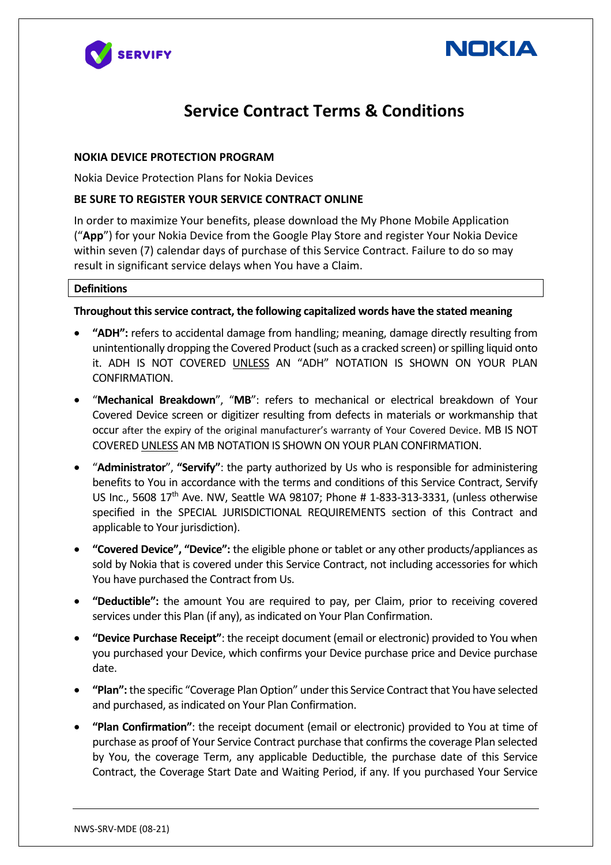



## **Service Contract Terms & Conditions**

## **NOKIA DEVICE PROTECTION PROGRAM**

Nokia Device Protection Plans for Nokia Devices

## **BE SURE TO REGISTER YOUR SERVICE CONTRACT ONLINE**

In order to maximize Your benefits, please download the My Phone Mobile Application ("**App**") for your Nokia Device from the Google Play Store and register Your Nokia Device within seven (7) calendar days of purchase of this Service Contract. Failure to do so may result in significant service delays when You have a Claim.

## **Definitions**

## **Throughout this service contract, the following capitalized words have the stated meaning**

- **"ADH":** refers to accidental damage from handling; meaning, damage directly resulting from unintentionally dropping the Covered Product (such as a cracked screen) or spilling liquid onto it. ADH IS NOT COVERED UNLESS AN "ADH" NOTATION IS SHOWN ON YOUR PLAN CONFIRMATION.
- "**Mechanical Breakdown**", "**MB**": refers to mechanical or electrical breakdown of Your Covered Device screen or digitizer resulting from defects in materials or workmanship that occur after the expiry of the original manufacturer's warranty of Your Covered Device. MB IS NOT COVERED UNLESS AN MB NOTATION IS SHOWN ON YOUR PLAN CONFIRMATION.
- "**Administrator**", **"Servify"**: the party authorized by Us who is responsible for administering benefits to You in accordance with the terms and conditions of this Service Contract, Servify US Inc., 5608 17th Ave. NW, Seattle WA 98107; Phone # 1-833-313-3331, (unless otherwise specified in the SPECIAL JURISDICTIONAL REQUIREMENTS section of this Contract and applicable to Your jurisdiction).
- **"Covered Device", "Device":** the eligible phone or tablet or any other products/appliances as sold by Nokia that is covered under this Service Contract, not including accessories for which You have purchased the Contract from Us.
- **"Deductible":** the amount You are required to pay, per Claim, prior to receiving covered services under this Plan (if any), as indicated on Your Plan Confirmation.
- **"Device Purchase Receipt"**: the receipt document (email or electronic) provided to You when you purchased your Device, which confirms your Device purchase price and Device purchase date.
- **"Plan":** the specific "Coverage Plan Option" under this Service Contract that You have selected and purchased, as indicated on Your Plan Confirmation.
- **"Plan Confirmation"**: the receipt document (email or electronic) provided to You at time of purchase as proof of Your Service Contract purchase that confirms the coverage Plan selected by You, the coverage Term, any applicable Deductible, the purchase date of this Service Contract, the Coverage Start Date and Waiting Period, if any. If you purchased Your Service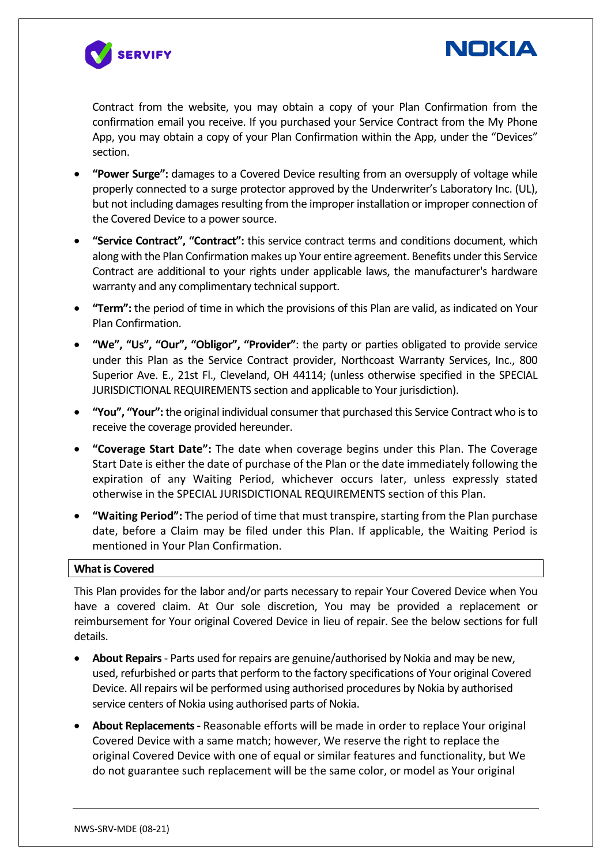



Contract from the website, you may obtain a copy of your Plan Confirmation from the confirmation email you receive. If you purchased your Service Contract from the My Phone App, you may obtain a copy of your Plan Confirmation within the App, under the "Devices" section.

- **"Power Surge":** damages to a Covered Device resulting from an oversupply of voltage while properly connected to a surge protector approved by the Underwriter's Laboratory Inc. (UL), but not including damages resulting from the improper installation or improper connection of the Covered Device to a power source.
- **"Service Contract", "Contract":** this service contract terms and conditions document, which along with the Plan Confirmation makes up Your entire agreement. Benefits under this Service Contract are additional to your rights under applicable laws, the manufacturer's hardware warranty and any complimentary technical support.
- **"Term":** the period of time in which the provisions of this Plan are valid, as indicated on Your Plan Confirmation.
- **"We", "Us", "Our", "Obligor", "Provider"**: the party or parties obligated to provide service under this Plan as the Service Contract provider, Northcoast Warranty Services, Inc., 800 Superior Ave. E., 21st Fl., Cleveland, OH 44114; (unless otherwise specified in the SPECIAL JURISDICTIONAL REQUIREMENTS section and applicable to Your jurisdiction).
- **"You", "Your":** the original individual consumer that purchased this Service Contract who is to receive the coverage provided hereunder.
- **"Coverage Start Date":** The date when coverage begins under this Plan. The Coverage Start Date is either the date of purchase of the Plan or the date immediately following the expiration of any Waiting Period, whichever occurs later, unless expressly stated otherwise in the SPECIAL JURISDICTIONAL REQUIREMENTS section of this Plan.
- **"Waiting Period":** The period of time that must transpire, starting from the Plan purchase date, before a Claim may be filed under this Plan. If applicable, the Waiting Period is mentioned in Your Plan Confirmation.

#### **What is Covered**

This Plan provides for the labor and/or parts necessary to repair Your Covered Device when You have a covered claim. At Our sole discretion, You may be provided a replacement or reimbursement for Your original Covered Device in lieu of repair. See the below sections for full details.

- **About Repairs** Parts used for repairs are genuine/authorised by Nokia and may be new, used, refurbished or parts that perform to the factory specifications of Your original Covered Device. All repairs wil be performed using authorised procedures by Nokia by authorised service centers of Nokia using authorised parts of Nokia.
- **About Replacements -** Reasonable efforts will be made in order to replace Your original Covered Device with a same match; however, We reserve the right to replace the original Covered Device with one of equal or similar features and functionality, but We do not guarantee such replacement will be the same color, or model as Your original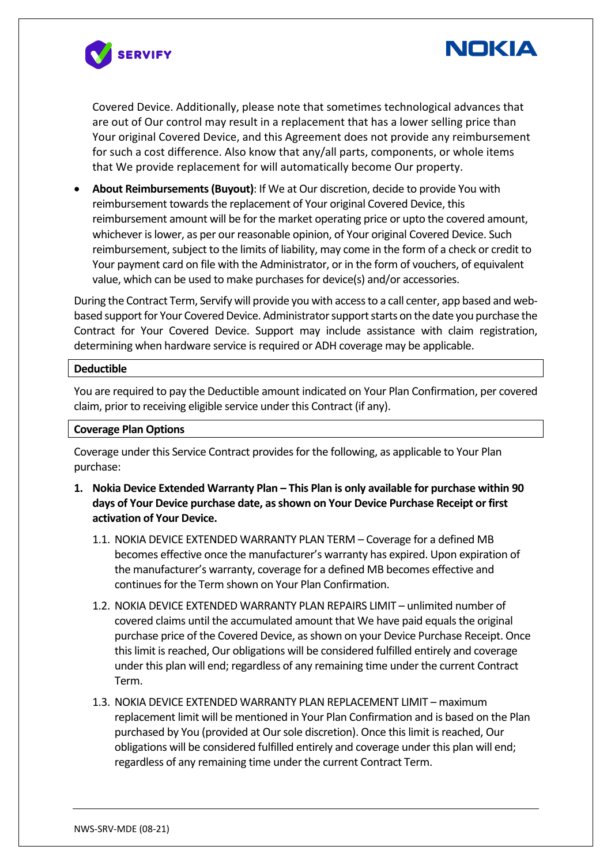



Covered Device. Additionally, please note that sometimes technological advances that are out of Our control may result in a replacement that has a lower selling price than Your original Covered Device, and this Agreement does not provide any reimbursement for such a cost difference. Also know that any/all parts, components, or whole items that We provide replacement for will automatically become Our property.

• **About Reimbursements (Buyout)**: If We at Our discretion, decide to provide You with reimbursement towards the replacement of Your original Covered Device, this reimbursement amount will be for the market operating price or upto the covered amount, whichever is lower, as per our reasonable opinion, of Your original Covered Device. Such reimbursement, subject to the limits of liability, may come in the form of a check or credit to Your payment card on file with the Administrator, or in the form of vouchers, of equivalent value, which can be used to make purchases for device(s) and/or accessories.

During the Contract Term, Servify will provide you with access to a call center, app based and webbased support for Your Covered Device. Administrator support starts on the date you purchase the Contract for Your Covered Device. Support may include assistance with claim registration, determining when hardware service is required or ADH coverage may be applicable.

#### **Deductible**

You are required to pay the Deductible amount indicated on Your Plan Confirmation, per covered claim, prior to receiving eligible service under this Contract (if any).

#### **Coverage Plan Options**

Coverage under this Service Contract provides for the following, as applicable to Your Plan purchase:

- **1. Nokia Device Extended Warranty Plan – This Plan is only available for purchase within 90 days of Your Device purchase date, as shown on Your Device Purchase Receipt or first activation of Your Device.**
	- 1.1. NOKIA DEVICE EXTENDED WARRANTY PLAN TERM Coverage for a defined MB becomes effective once the manufacturer's warranty has expired. Upon expiration of the manufacturer's warranty, coverage for a defined MB becomes effective and continues for the Term shown on Your Plan Confirmation.
	- 1.2. NOKIA DEVICE EXTENDED WARRANTY PLAN REPAIRS LIMIT unlimited number of covered claims until the accumulated amount that We have paid equals the original purchase price of the Covered Device, as shown on your Device Purchase Receipt. Once this limit is reached, Our obligations will be considered fulfilled entirely and coverage under this plan will end; regardless of any remaining time under the current Contract Term.
	- 1.3. NOKIA DEVICE EXTENDED WARRANTY PLAN REPLACEMENT LIMIT maximum replacement limit will be mentioned in Your Plan Confirmation and is based on the Plan purchased by You (provided at Our sole discretion). Once this limit is reached, Our obligations will be considered fulfilled entirely and coverage under this plan will end; regardless of any remaining time under the current Contract Term.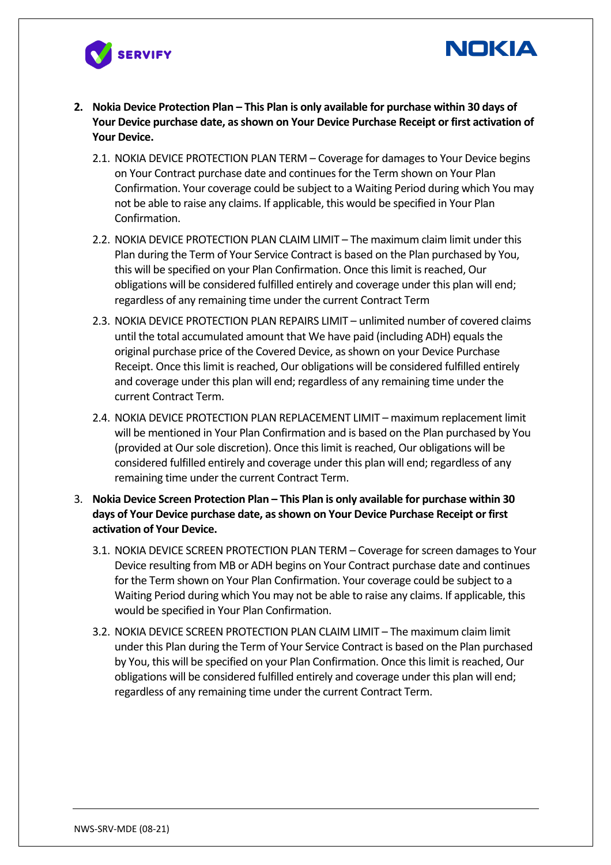



- **2. Nokia Device Protection Plan – This Plan is only available for purchase within 30 days of Your Device purchase date, as shown on Your Device Purchase Receipt or first activation of Your Device.**
	- 2.1. NOKIA DEVICE PROTECTION PLAN TERM Coverage for damages to Your Device begins on Your Contract purchase date and continues for the Term shown on Your Plan Confirmation. Your coverage could be subject to a Waiting Period during which You may not be able to raise any claims. If applicable, this would be specified in Your Plan Confirmation.
	- 2.2. NOKIA DEVICE PROTECTION PLAN CLAIM LIMIT The maximum claim limit under this Plan during the Term of Your Service Contract is based on the Plan purchased by You, this will be specified on your Plan Confirmation. Once this limit is reached, Our obligations will be considered fulfilled entirely and coverage under this plan will end; regardless of any remaining time under the current Contract Term
	- 2.3. NOKIA DEVICE PROTECTION PLAN REPAIRS LIMIT unlimited number of covered claims until the total accumulated amount that We have paid (including ADH) equals the original purchase price of the Covered Device, as shown on your Device Purchase Receipt. Once this limit is reached, Our obligations will be considered fulfilled entirely and coverage under this plan will end; regardless of any remaining time under the current Contract Term.
	- 2.4. NOKIA DEVICE PROTECTION PLAN REPLACEMENT LIMIT maximum replacement limit will be mentioned in Your Plan Confirmation and is based on the Plan purchased by You (provided at Our sole discretion). Once this limit is reached, Our obligations will be considered fulfilled entirely and coverage under this plan will end; regardless of any remaining time under the current Contract Term.
- 3. **Nokia Device Screen Protection Plan – This Plan is only available for purchase within 30 days of Your Device purchase date, as shown on Your Device Purchase Receipt or first activation of Your Device.**
	- 3.1. NOKIA DEVICE SCREEN PROTECTION PLAN TERM Coverage for screen damages to Your Device resulting from MB or ADH begins on Your Contract purchase date and continues for the Term shown on Your Plan Confirmation. Your coverage could be subject to a Waiting Period during which You may not be able to raise any claims. If applicable, this would be specified in Your Plan Confirmation.
	- 3.2. NOKIA DEVICE SCREEN PROTECTION PLAN CLAIM LIMIT The maximum claim limit under this Plan during the Term of Your Service Contract is based on the Plan purchased by You, this will be specified on your Plan Confirmation. Once this limit is reached, Our obligations will be considered fulfilled entirely and coverage under this plan will end; regardless of any remaining time under the current Contract Term.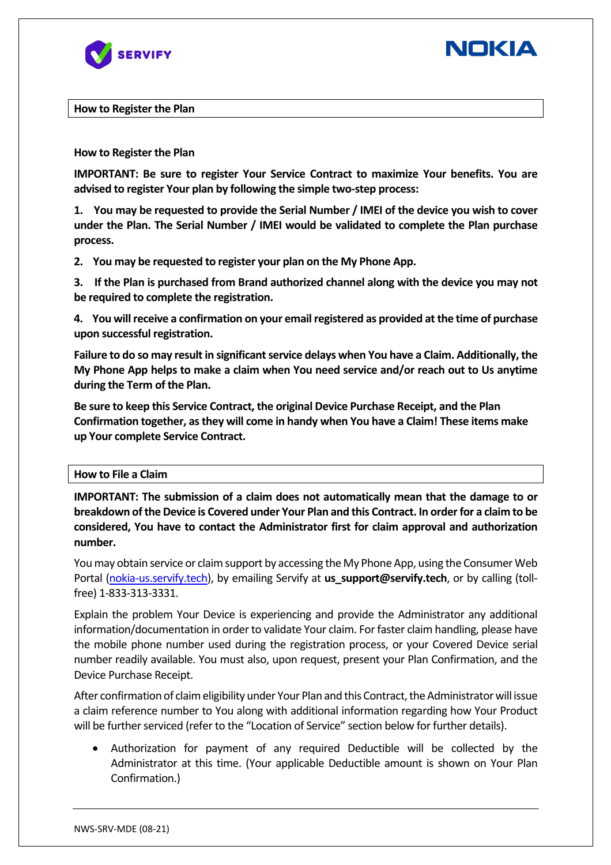



**How to Register the Plan** 

#### **How to Register the Plan**

**IMPORTANT: Be sure to register Your Service Contract to maximize Your benefits. You are advised to register Your plan by following the simple two-step process:**

**1. You may be requested to provide the Serial Number / IMEI of the device you wish to cover under the Plan. The Serial Number / IMEI would be validated to complete the Plan purchase process.**

**2. You may be requested to register your plan on the My Phone App.**

**3. If the Plan is purchased from Brand authorized channel along with the device you may not be required to complete the registration.**

**4. You will receive a confirmation on your email registered as provided at the time of purchase upon successful registration.**

**Failure to do so may result in significant service delays when You have a Claim. Additionally, the My Phone App helps to make a claim when You need service and/or reach out to Us anytime during the Term of the Plan.**

**Be sure to keep this Service Contract, the original Device Purchase Receipt, and the Plan Confirmation together, as they will come in handy when You have a Claim! These items make up Your complete Service Contract.**

#### **How to File a Claim**

**IMPORTANT: The submission of a claim does not automatically mean that the damage to or breakdown of the Device is Covered under Your Plan and this Contract. In order for a claim to be considered, You have to contact the Administrator first for claim approval and authorization number.**

You may obtain service or claim support by accessing the My Phone App, using the Consumer Web Portal (nokia-us.servify.tech), by emailing Servify at **us support@servify.tech**, or by calling (tollfree) 1-833-313-3331.

Explain the problem Your Device is experiencing and provide the Administrator any additional information/documentation in order to validate Your claim. For faster claim handling, please have the mobile phone number used during the registration process, or your Covered Device serial number readily available. You must also, upon request, present your Plan Confirmation, and the Device Purchase Receipt.

After confirmation of claim eligibility under Your Plan and this Contract, the Administrator will issue a claim reference number to You along with additional information regarding how Your Product will be further serviced (refer to the "Location of Service" section below for further details).

• Authorization for payment of any required Deductible will be collected by the Administrator at this time. (Your applicable Deductible amount is shown on Your Plan Confirmation.)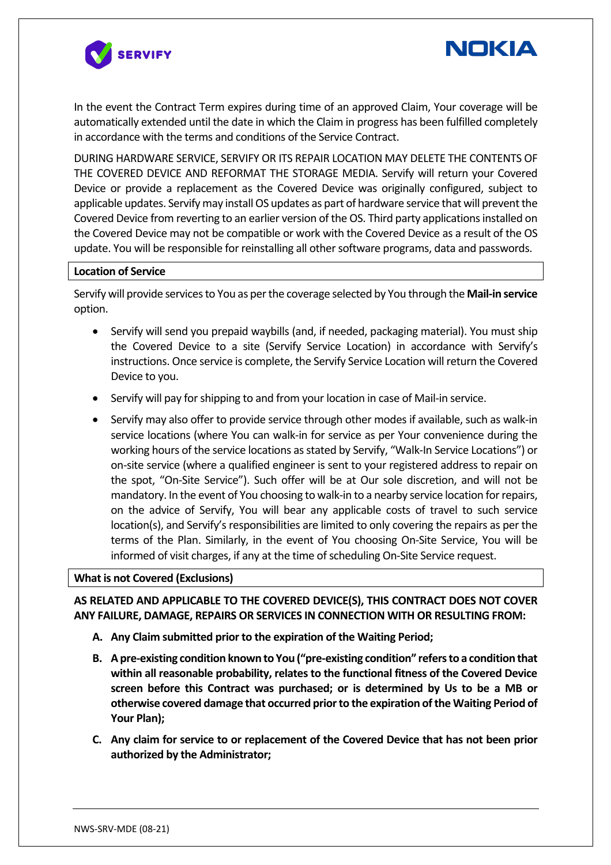



In the event the Contract Term expires during time of an approved Claim, Your coverage will be automatically extended until the date in which the Claim in progress has been fulfilled completely in accordance with the terms and conditions of the Service Contract.

DURING HARDWARE SERVICE, SERVIFY OR ITS REPAIR LOCATION MAY DELETE THE CONTENTS OF THE COVERED DEVICE AND REFORMAT THE STORAGE MEDIA. Servify will return your Covered Device or provide a replacement as the Covered Device was originally configured, subject to applicable updates. Servify may install OS updates as part of hardware service that will prevent the Covered Device from reverting to an earlier version of the OS. Third party applications installed on the Covered Device may not be compatible or work with the Covered Device as a result of the OS update. You will be responsible for reinstalling all other software programs, data and passwords.

#### **Location of Service**

Servify will provide services to You as per the coverage selected by You through the **Mail-in service** option.

- Servify will send you prepaid waybills (and, if needed, packaging material). You must ship the Covered Device to a site (Servify Service Location) in accordance with Servify's instructions. Once service is complete, the Servify Service Location will return the Covered Device to you.
- Servify will pay for shipping to and from your location in case of Mail-in service.
- Servify may also offer to provide service through other modes if available, such as walk-in service locations (where You can walk-in for service as per Your convenience during the working hours of the service locations as stated by Servify, "Walk-In Service Locations") or on-site service (where a qualified engineer is sent to your registered address to repair on the spot, "On-Site Service"). Such offer will be at Our sole discretion, and will not be mandatory. In the event of You choosing to walk-in to a nearby service location for repairs, on the advice of Servify, You will bear any applicable costs of travel to such service location(s), and Servify's responsibilities are limited to only covering the repairs as per the terms of the Plan. Similarly, in the event of You choosing On-Site Service, You will be informed of visit charges, if any at the time of scheduling On-Site Service request.

#### **What is not Covered (Exclusions)**

## **AS RELATED AND APPLICABLE TO THE COVERED DEVICE(S), THIS CONTRACT DOES NOT COVER ANY FAILURE, DAMAGE, REPAIRS OR SERVICES IN CONNECTION WITH OR RESULTING FROM:**

- **A. Any Claim submitted prior to the expiration of the Waiting Period;**
- **B. A pre-existing condition known to You ("pre-existing condition" refers to a condition that within all reasonable probability, relates to the functional fitness of the Covered Device screen before this Contract was purchased; or is determined by Us to be a MB or otherwise covered damage that occurred prior to the expiration of the Waiting Period of Your Plan);**
- **C. Any claim for service to or replacement of the Covered Device that has not been prior authorized by the Administrator;**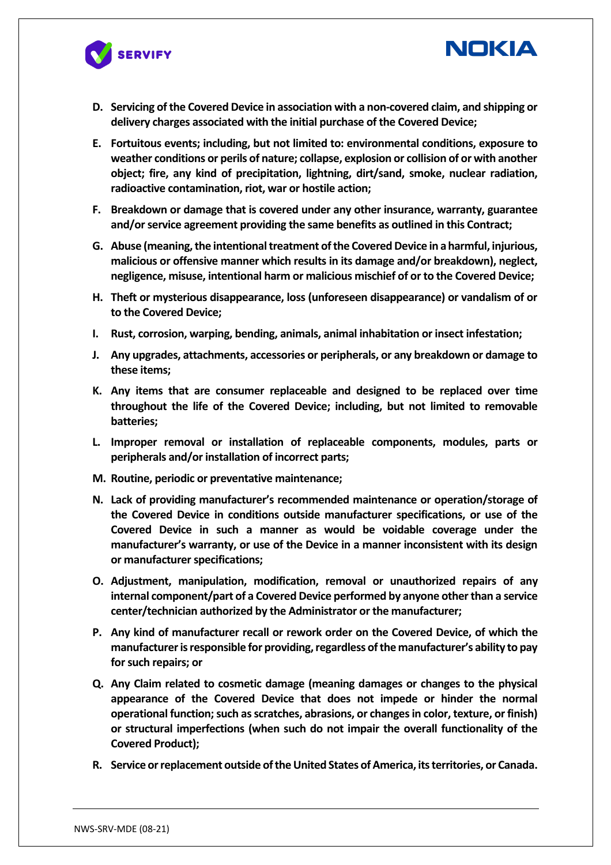



**NOKIA** 

- **E. Fortuitous events; including, but not limited to: environmental conditions, exposure to weather conditions or perils of nature; collapse, explosion or collision of or with another object; fire, any kind of precipitation, lightning, dirt/sand, smoke, nuclear radiation, radioactive contamination, riot, war or hostile action;**
- **F. Breakdown or damage that is covered under any other insurance, warranty, guarantee and/or service agreement providing the same benefits as outlined in this Contract;**
- **G. Abuse (meaning, the intentional treatment of the Covered Device in a harmful, injurious, malicious or offensive manner which results in its damage and/or breakdown), neglect, negligence, misuse, intentional harm or malicious mischief of or to the Covered Device;**
- **H. Theft or mysterious disappearance, loss (unforeseen disappearance) or vandalism of or to the Covered Device;**
- **I. Rust, corrosion, warping, bending, animals, animal inhabitation or insect infestation;**
- **J. Any upgrades, attachments, accessories or peripherals, or any breakdown or damage to these items;**
- **K. Any items that are consumer replaceable and designed to be replaced over time throughout the life of the Covered Device; including, but not limited to removable batteries;**
- **L. Improper removal or installation of replaceable components, modules, parts or peripherals and/or installation of incorrect parts;**
- **M. Routine, periodic or preventative maintenance;**
- **N. Lack of providing manufacturer's recommended maintenance or operation/storage of the Covered Device in conditions outside manufacturer specifications, or use of the Covered Device in such a manner as would be voidable coverage under the manufacturer's warranty, or use of the Device in a manner inconsistent with its design or manufacturer specifications;**
- **O. Adjustment, manipulation, modification, removal or unauthorized repairs of any internal component/part of a Covered Device performed by anyone other than a service center/technician authorized by the Administrator or the manufacturer;**
- **P. Any kind of manufacturer recall or rework order on the Covered Device, of which the manufacturer is responsible for providing, regardless of the manufacturer's ability to pay for such repairs; or**
- **Q. Any Claim related to cosmetic damage (meaning damages or changes to the physical appearance of the Covered Device that does not impede or hinder the normal operational function; such as scratches, abrasions, or changes in color, texture, or finish) or structural imperfections (when such do not impair the overall functionality of the Covered Product);**
- **R. Service or replacement outside of the United States of America, its territories, or Canada.**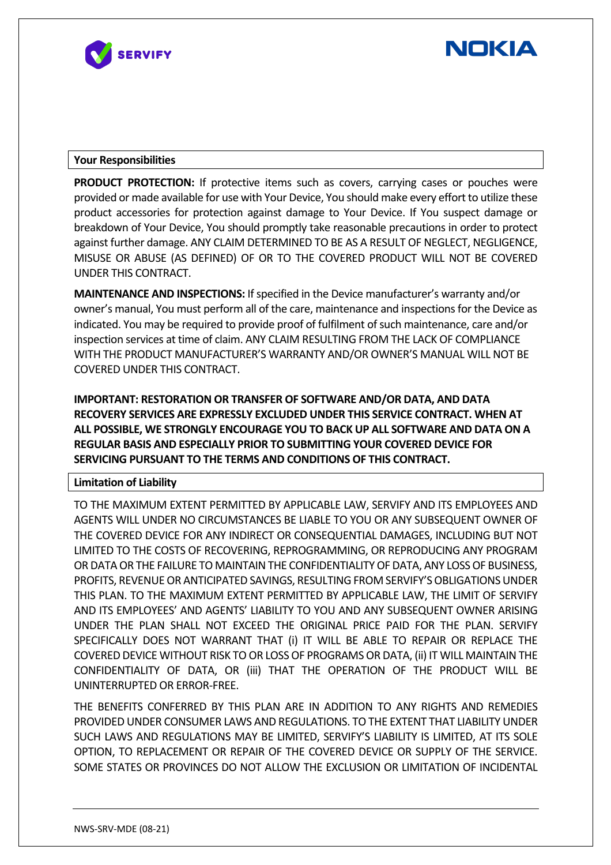



#### **Your Responsibilities**

**PRODUCT PROTECTION:** If protective items such as covers, carrying cases or pouches were provided or made available for use with Your Device, You should make every effort to utilize these product accessories for protection against damage to Your Device. If You suspect damage or breakdown of Your Device, You should promptly take reasonable precautions in order to protect against further damage. ANY CLAIM DETERMINED TO BE AS A RESULT OF NEGLECT, NEGLIGENCE, MISUSE OR ABUSE (AS DEFINED) OF OR TO THE COVERED PRODUCT WILL NOT BE COVERED UNDER THIS CONTRACT.

**MAINTENANCE AND INSPECTIONS:** If specified in the Device manufacturer's warranty and/or owner's manual, You must perform all of the care, maintenance and inspections for the Device as indicated. You may be required to provide proof of fulfilment of such maintenance, care and/or inspection services at time of claim. ANY CLAIM RESULTING FROM THE LACK OF COMPLIANCE WITH THE PRODUCT MANUFACTURER'S WARRANTY AND/OR OWNER'S MANUAL WILL NOT BE COVERED UNDER THIS CONTRACT.

**IMPORTANT: RESTORATION OR TRANSFER OF SOFTWARE AND/OR DATA, AND DATA RECOVERY SERVICES ARE EXPRESSLY EXCLUDED UNDER THIS SERVICE CONTRACT. WHEN AT ALL POSSIBLE, WE STRONGLY ENCOURAGE YOU TO BACK UP ALL SOFTWARE AND DATA ON A REGULAR BASIS AND ESPECIALLY PRIOR TO SUBMITTING YOUR COVERED DEVICE FOR SERVICING PURSUANT TO THE TERMS AND CONDITIONS OF THIS CONTRACT.**

#### **Limitation of Liability**

TO THE MAXIMUM EXTENT PERMITTED BY APPLICABLE LAW, SERVIFY AND ITS EMPLOYEES AND AGENTS WILL UNDER NO CIRCUMSTANCES BE LIABLE TO YOU OR ANY SUBSEQUENT OWNER OF THE COVERED DEVICE FOR ANY INDIRECT OR CONSEQUENTIAL DAMAGES, INCLUDING BUT NOT LIMITED TO THE COSTS OF RECOVERING, REPROGRAMMING, OR REPRODUCING ANY PROGRAM OR DATA OR THE FAILURE TO MAINTAIN THE CONFIDENTIALITY OF DATA, ANY LOSS OF BUSINESS, PROFITS, REVENUE OR ANTICIPATED SAVINGS, RESULTING FROM SERVIFY'S OBLIGATIONS UNDER THIS PLAN. TO THE MAXIMUM EXTENT PERMITTED BY APPLICABLE LAW, THE LIMIT OF SERVIFY AND ITS EMPLOYEES' AND AGENTS' LIABILITY TO YOU AND ANY SUBSEQUENT OWNER ARISING UNDER THE PLAN SHALL NOT EXCEED THE ORIGINAL PRICE PAID FOR THE PLAN. SERVIFY SPECIFICALLY DOES NOT WARRANT THAT (i) IT WILL BE ABLE TO REPAIR OR REPLACE THE COVERED DEVICE WITHOUT RISK TO OR LOSS OF PROGRAMS OR DATA, (ii) IT WILL MAINTAIN THE CONFIDENTIALITY OF DATA, OR (iii) THAT THE OPERATION OF THE PRODUCT WILL BE UNINTERRUPTED OR ERROR-FREE.

THE BENEFITS CONFERRED BY THIS PLAN ARE IN ADDITION TO ANY RIGHTS AND REMEDIES PROVIDED UNDER CONSUMER LAWS AND REGULATIONS. TO THE EXTENT THAT LIABILITY UNDER SUCH LAWS AND REGULATIONS MAY BE LIMITED, SERVIFY'S LIABILITY IS LIMITED, AT ITS SOLE OPTION, TO REPLACEMENT OR REPAIR OF THE COVERED DEVICE OR SUPPLY OF THE SERVICE. SOME STATES OR PROVINCES DO NOT ALLOW THE EXCLUSION OR LIMITATION OF INCIDENTAL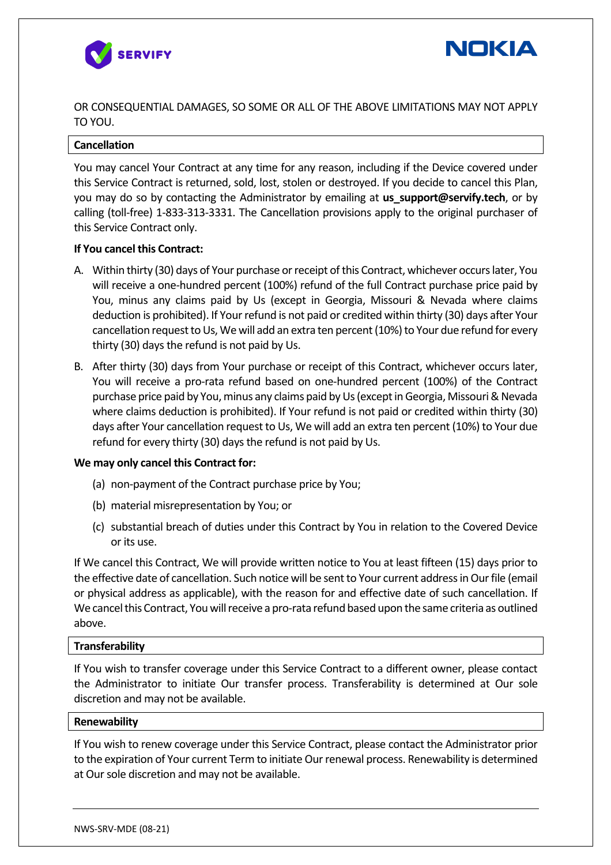



OR CONSEQUENTIAL DAMAGES, SO SOME OR ALL OF THE ABOVE LIMITATIONS MAY NOT APPLY TO YOU.

#### **Cancellation**

You may cancel Your Contract at any time for any reason, including if the Device covered under this Service Contract is returned, sold, lost, stolen or destroyed. If you decide to cancel this Plan, you may do so by contacting the Administrator by emailing at **us\_support@servify.tech**, or by calling (toll-free) 1-833-313-3331. The Cancellation provisions apply to the original purchaser of this Service Contract only.

#### **If You cancel this Contract:**

- A. Within thirty (30) days of Your purchase or receipt of this Contract, whichever occurs later, You will receive a one-hundred percent (100%) refund of the full Contract purchase price paid by You, minus any claims paid by Us (except in Georgia, Missouri & Nevada where claims deduction is prohibited). If Your refund is not paid or credited within thirty (30) days after Your cancellation request to Us, We will add an extra ten percent (10%) to Your due refund for every thirty (30) days the refund is not paid by Us.
- B. After thirty (30) days from Your purchase or receipt of this Contract, whichever occurs later, You will receive a pro-rata refund based on one-hundred percent (100%) of the Contract purchase price paid by You, minus any claims paid by Us (except in Georgia, Missouri & Nevada where claims deduction is prohibited). If Your refund is not paid or credited within thirty (30) days after Your cancellation request to Us, We will add an extra ten percent (10%) to Your due refund for every thirty (30) days the refund is not paid by Us.

#### **We may only cancel this Contract for:**

- (a) non-payment of the Contract purchase price by You;
- (b) material misrepresentation by You; or
- (c) substantial breach of duties under this Contract by You in relation to the Covered Device or its use.

If We cancel this Contract, We will provide written notice to You at least fifteen (15) days prior to the effective date of cancellation. Such notice will be sent to Your current address in Our file (email or physical address as applicable), with the reason for and effective date of such cancellation. If We cancel this Contract, You will receive a pro-rata refund based upon the same criteria as outlined above.

#### **Transferability**

If You wish to transfer coverage under this Service Contract to a different owner, please contact the Administrator to initiate Our transfer process. Transferability is determined at Our sole discretion and may not be available.

#### **Renewability**

If You wish to renew coverage under this Service Contract, please contact the Administrator prior to the expiration of Your current Term to initiate Our renewal process. Renewability is determined at Our sole discretion and may not be available.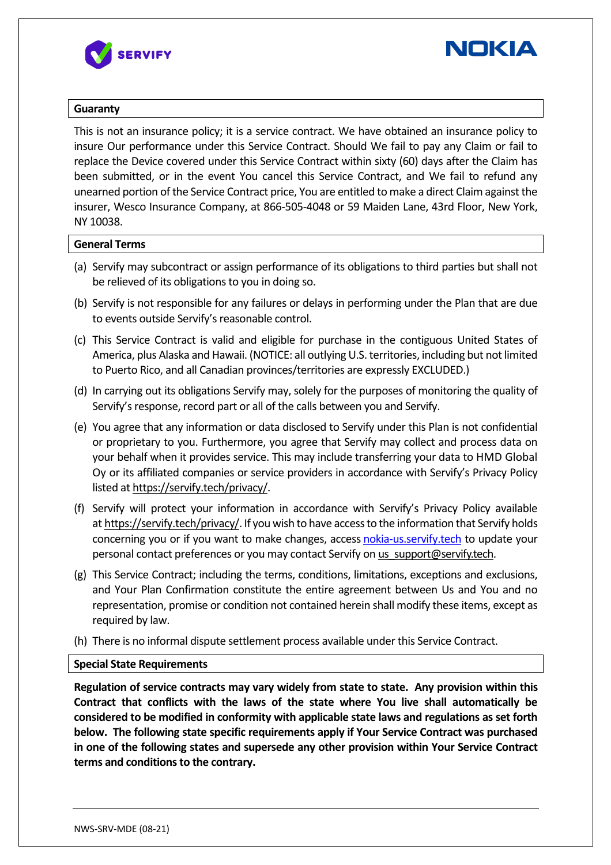



#### **Guaranty**

This is not an insurance policy; it is a service contract. We have obtained an insurance policy to insure Our performance under this Service Contract. Should We fail to pay any Claim or fail to replace the Device covered under this Service Contract within sixty (60) days after the Claim has been submitted, or in the event You cancel this Service Contract, and We fail to refund any unearned portion of the Service Contract price, You are entitled to make a direct Claim against the insurer, Wesco Insurance Company, at 866-505-4048 or 59 Maiden Lane, 43rd Floor, New York, NY 10038.

#### **General Terms**

- (a) Servify may subcontract or assign performance of its obligations to third parties but shall not be relieved of its obligations to you in doing so.
- (b) Servify is not responsible for any failures or delays in performing under the Plan that are due to events outside Servify's reasonable control.
- (c) This Service Contract is valid and eligible for purchase in the contiguous United States of America, plus Alaska and Hawaii. (NOTICE: all outlying U.S. territories, including but not limited to Puerto Rico, and all Canadian provinces/territories are expressly EXCLUDED.)
- (d) In carrying out its obligations Servify may, solely for the purposes of monitoring the quality of Servify's response, record part or all of the calls between you and Servify.
- (e) You agree that any information or data disclosed to Servify under this Plan is not confidential or proprietary to you. Furthermore, you agree that Servify may collect and process data on your behalf when it provides service. This may include transferring your data to HMD Global Oy or its affiliated companies or service providers in accordance with Servify's Privacy Policy listed at https://servify.tech/privacy/.
- (f) Servify will protect your information in accordance with Servify's Privacy Policy available at https://servify.tech/privacy/. If you wish to have access to the information that Servify holds concerning you or if you want to make changes, access nokia-us.servify.tech to update your personal contact preferences or you may contact Servify on us\_support@servify.tech.
- (g) This Service Contract; including the terms, conditions, limitations, exceptions and exclusions, and Your Plan Confirmation constitute the entire agreement between Us and You and no representation, promise or condition not contained herein shall modify these items, except as required by law.
- (h) There is no informal dispute settlement process available under this Service Contract.

#### **Special State Requirements**

**Regulation of service contracts may vary widely from state to state. Any provision within this Contract that conflicts with the laws of the state where You live shall automatically be considered to be modified in conformity with applicable state laws and regulations as set forth below. The following state specific requirements apply if Your Service Contract was purchased in one of the following states and supersede any other provision within Your Service Contract terms and conditions to the contrary.**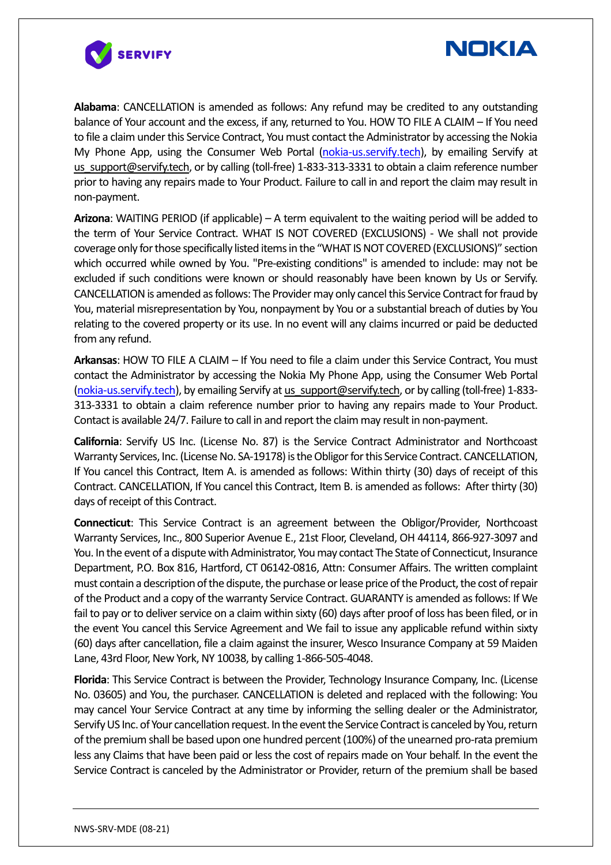



**Alabama**: CANCELLATION is amended as follows: Any refund may be credited to any outstanding balance of Your account and the excess, if any, returned to You. HOW TO FILE A CLAIM – If You need to file a claim under this Service Contract, You must contact the Administrator by accessing the Nokia My Phone App, using the Consumer Web Portal (nokia-us.servify.tech), by emailing Servify at us support@servify.tech, or by calling (toll-free) 1-833-313-3331 to obtain a claim reference number prior to having any repairs made to Your Product. Failure to call in and report the claim may result in non-payment.

**Arizona**: WAITING PERIOD (if applicable) – A term equivalent to the waiting period will be added to the term of Your Service Contract. WHAT IS NOT COVERED (EXCLUSIONS) - We shall not provide coverage only for those specifically listed items in the "WHAT IS NOT COVERED (EXCLUSIONS)" section which occurred while owned by You. "Pre-existing conditions" is amended to include: may not be excluded if such conditions were known or should reasonably have been known by Us or Servify. CANCELLATION is amended as follows: The Provider may only cancel this Service Contract for fraud by You, material misrepresentation by You, nonpayment by You or a substantial breach of duties by You relating to the covered property or its use. In no event will any claims incurred or paid be deducted from any refund.

**Arkansas**: HOW TO FILE A CLAIM – If You need to file a claim under this Service Contract, You must contact the Administrator by accessing the Nokia My Phone App, using the Consumer Web Portal (nokia-us.servify.tech), by emailing Servify at us\_support@servify.tech, or by calling (toll-free) 1-833-313-3331 to obtain a claim reference number prior to having any repairs made to Your Product. Contact is available 24/7. Failure to call in and report the claim may result in non-payment.

**California**: Servify US Inc. (License No. 87) is the Service Contract Administrator and Northcoast Warranty Services, Inc. (License No. SA-19178) is the Obligor for this Service Contract. CANCELLATION, If You cancel this Contract, Item A. is amended as follows: Within thirty (30) days of receipt of this Contract. CANCELLATION, If You cancel this Contract, Item B. is amended as follows: After thirty (30) days of receipt of this Contract.

**Connecticut**: This Service Contract is an agreement between the Obligor/Provider, Northcoast Warranty Services, Inc., 800 Superior Avenue E., 21st Floor, Cleveland, OH 44114, 866-927-3097 and You. In the event of a dispute with Administrator, You may contact The State of Connecticut, Insurance Department, P.O. Box 816, Hartford, CT 06142-0816, Attn: Consumer Affairs. The written complaint must contain a description of the dispute, the purchase or lease price of the Product, the cost ofrepair of the Product and a copy of the warranty Service Contract. GUARANTY is amended as follows: If We fail to pay or to deliver service on a claim within sixty (60) days after proof of loss has been filed, or in the event You cancel this Service Agreement and We fail to issue any applicable refund within sixty (60) days after cancellation, file a claim against the insurer, Wesco Insurance Company at 59 Maiden Lane, 43rd Floor, New York, NY 10038, by calling 1-866-505-4048.

**Florida**: This Service Contract is between the Provider, Technology Insurance Company, Inc. (License No. 03605) and You, the purchaser. CANCELLATION is deleted and replaced with the following: You may cancel Your Service Contract at any time by informing the selling dealer or the Administrator, Servify US Inc. of Your cancellation request. In the event the Service Contract is canceled by You, return of the premium shall be based upon one hundred percent (100%) of the unearned pro-rata premium less any Claims that have been paid or less the cost of repairs made on Your behalf. In the event the Service Contract is canceled by the Administrator or Provider, return of the premium shall be based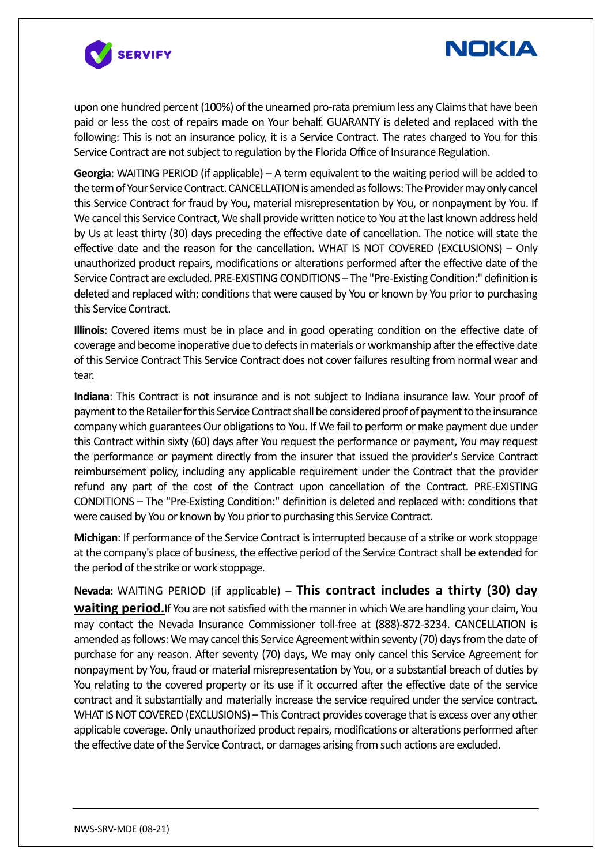

# **NOKIA**

upon one hundred percent (100%) of the unearned pro-rata premium less any Claims that have been paid or less the cost of repairs made on Your behalf. GUARANTY is deleted and replaced with the following: This is not an insurance policy, it is a Service Contract. The rates charged to You for this Service Contract are not subject to regulation by the Florida Office of Insurance Regulation.

**Georgia**: WAITING PERIOD (if applicable) – A term equivalent to the waiting period will be added to the term of Your Service Contract.CANCELLATION is amended as follows: The Provider may only cancel this Service Contract for fraud by You, material misrepresentation by You, or nonpayment by You. If We cancel this Service Contract, We shall provide written notice to You at the last known address held by Us at least thirty (30) days preceding the effective date of cancellation. The notice will state the effective date and the reason for the cancellation. WHAT IS NOT COVERED (EXCLUSIONS) – Only unauthorized product repairs, modifications or alterations performed after the effective date of the Service Contract are excluded. PRE-EXISTING CONDITIONS – The "Pre-Existing Condition:" definition is deleted and replaced with: conditions that were caused by You or known by You prior to purchasing this Service Contract.

**Illinois**: Covered items must be in place and in good operating condition on the effective date of coverage and become inoperative due to defects in materials or workmanship after the effective date of this Service Contract This Service Contract does not cover failures resulting from normal wear and tear.

**Indiana**: This Contract is not insurance and is not subject to Indiana insurance law. Your proof of payment to the Retailer for this Service Contract shall be considered proof of payment to the insurance company which guarantees Our obligations to You. If We fail to perform or make payment due under this Contract within sixty (60) days after You request the performance or payment, You may request the performance or payment directly from the insurer that issued the provider's Service Contract reimbursement policy, including any applicable requirement under the Contract that the provider refund any part of the cost of the Contract upon cancellation of the Contract. PRE-EXISTING CONDITIONS – The "Pre-Existing Condition:" definition is deleted and replaced with: conditions that were caused by You or known by You prior to purchasing this Service Contract.

**Michigan**: If performance of the Service Contract is interrupted because of a strike or work stoppage at the company's place of business, the effective period of the Service Contract shall be extended for the period of the strike or work stoppage.

**Nevada**: WAITING PERIOD (if applicable) – **This contract includes a thirty (30) day waiting period.**If You are not satisfied with the manner in which We are handling your claim, You may contact the Nevada Insurance Commissioner toll-free at (888)-872-3234. CANCELLATION is amended as follows: We may cancel this Service Agreement within seventy (70) days from the date of purchase for any reason. After seventy (70) days, We may only cancel this Service Agreement for nonpayment by You, fraud or material misrepresentation by You, or a substantial breach of duties by You relating to the covered property or its use if it occurred after the effective date of the service contract and it substantially and materially increase the service required under the service contract. WHAT IS NOT COVERED (EXCLUSIONS) – This Contract provides coverage that is excess over any other applicable coverage. Only unauthorized product repairs, modifications or alterations performed after the effective date of the Service Contract, or damages arising from such actions are excluded.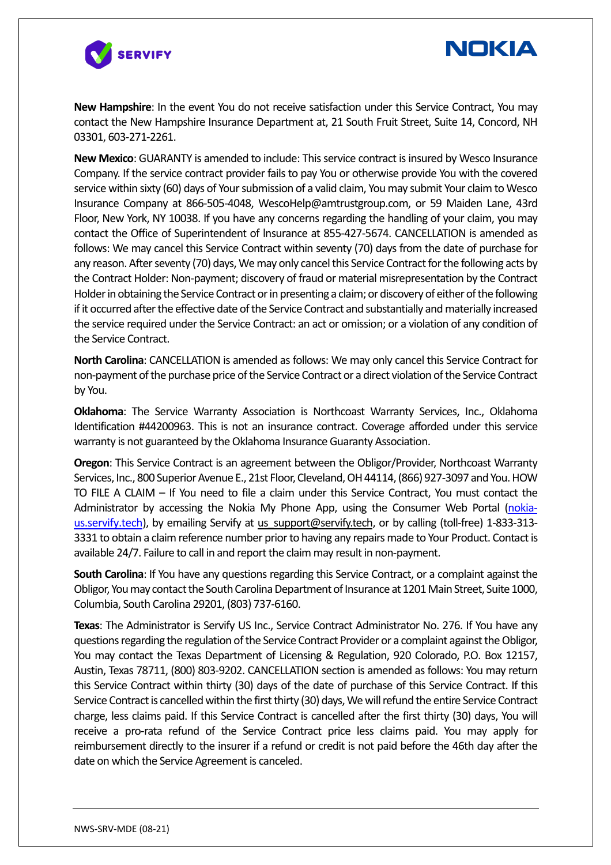



**New Hampshire**: In the event You do not receive satisfaction under this Service Contract, You may contact the New Hampshire Insurance Department at, 21 South Fruit Street, Suite 14, Concord, NH 03301, 603-271-2261.

**New Mexico**: GUARANTY is amended to include: This service contract is insured by Wesco Insurance Company. If the service contract provider fails to pay You or otherwise provide You with the covered service within sixty (60) days of Your submission of a valid claim, You may submit Your claim to Wesco Insurance Company at 866-505-4048, WescoHelp@amtrustgroup.com, or 59 Maiden Lane, 43rd Floor, New York, NY 10038. If you have any concerns regarding the handling of your claim, you may contact the Office of Superintendent of lnsurance at 855-427-5674. CANCELLATION is amended as follows: We may cancel this Service Contract within seventy (70) days from the date of purchase for any reason. After seventy (70) days, We may only cancel this Service Contract for the following acts by the Contract Holder: Non-payment; discovery of fraud or material misrepresentation by the Contract Holder in obtaining the Service Contract or in presenting a claim; or discovery of either of the following if it occurred after the effective date of the Service Contract and substantially and materially increased the service required under the Service Contract: an act or omission; or a violation of any condition of the Service Contract.

**North Carolina**: CANCELLATION is amended as follows: We may only cancel this Service Contract for non-payment of the purchase price of the Service Contract or a direct violation of the Service Contract by You.

**Oklahoma**: The Service Warranty Association is Northcoast Warranty Services, Inc., Oklahoma Identification #44200963. This is not an insurance contract. Coverage afforded under this service warranty is not guaranteed by the Oklahoma Insurance Guaranty Association.

**Oregon**: This Service Contract is an agreement between the Obligor/Provider, Northcoast Warranty Services, Inc., 800 Superior Avenue E., 21st Floor, Cleveland, OH 44114, (866) 927-3097 and You. HOW TO FILE A CLAIM – If You need to file a claim under this Service Contract, You must contact the Administrator by accessing the Nokia My Phone App, using the Consumer Web Portal (nokiaus.servify.tech), by emailing Servify at us support@servify.tech, or by calling (toll-free) 1-833-313-3331 to obtain a claim reference number prior to having any repairs made to Your Product. Contact is available 24/7. Failure to call in and report the claim may result in non-payment.

**South Carolina**: If You have any questions regarding this Service Contract, or a complaint against the Obligor, You may contact the South Carolina Department of Insurance at 1201 Main Street, Suite 1000, Columbia, South Carolina 29201, (803) 737-6160.

**Texas**: The Administrator is Servify US Inc., Service Contract Administrator No. 276. If You have any questions regarding the regulation of the Service Contract Provider or a complaint against the Obligor, You may contact the Texas Department of Licensing & Regulation, 920 Colorado, P.O. Box 12157, Austin, Texas 78711, (800) 803-9202. CANCELLATION section is amended as follows: You may return this Service Contract within thirty (30) days of the date of purchase of this Service Contract. If this Service Contract is cancelled within the first thirty (30) days, We will refund the entire Service Contract charge, less claims paid. If this Service Contract is cancelled after the first thirty (30) days, You will receive a pro-rata refund of the Service Contract price less claims paid. You may apply for reimbursement directly to the insurer if a refund or credit is not paid before the 46th day after the date on which the Service Agreement is canceled.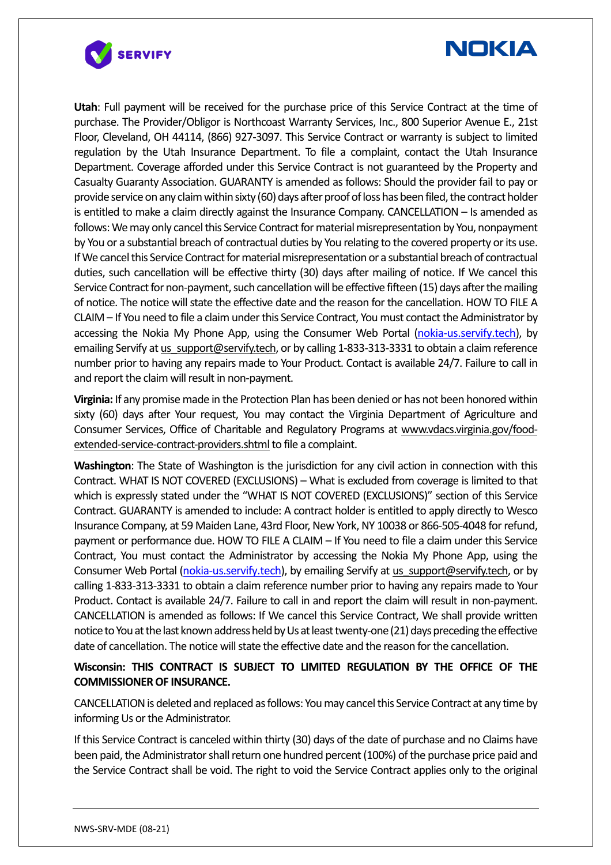



**Utah**: Full payment will be received for the purchase price of this Service Contract at the time of purchase. The Provider/Obligor is Northcoast Warranty Services, Inc., 800 Superior Avenue E., 21st Floor, Cleveland, OH 44114, (866) 927-3097. This Service Contract or warranty is subject to limited regulation by the Utah Insurance Department. To file a complaint, contact the Utah Insurance Department. Coverage afforded under this Service Contract is not guaranteed by the Property and Casualty Guaranty Association. GUARANTY is amended as follows: Should the provider fail to pay or provide service on any claim within sixty (60) days after proof of loss has been filed, the contract holder is entitled to make a claim directly against the Insurance Company. CANCELLATION – Is amended as follows: We may only cancel this Service Contract for material misrepresentation by You, nonpayment by You or a substantial breach of contractual duties by You relating to the covered property or its use. If We cancel this Service Contract for material misrepresentation or a substantial breach of contractual duties, such cancellation will be effective thirty (30) days after mailing of notice. If We cancel this Service Contract for non-payment, such cancellation will be effective fifteen (15) days after the mailing of notice. The notice will state the effective date and the reason for the cancellation. HOW TO FILE A CLAIM – If You need to file a claim under this Service Contract, You must contact the Administrator by accessing the Nokia My Phone App, using the Consumer Web Portal (nokia-us.servify.tech), by emailing Servify at us support@servify.tech, or by calling 1-833-313-3331 to obtain a claim reference number prior to having any repairs made to Your Product. Contact is available 24/7. Failure to call in and report the claim will result in non-payment.

**Virginia:** If any promise made in the Protection Plan has been denied or has not been honored within sixty (60) days after Your request, You may contact the Virginia Department of Agriculture and Consumer Services, Office of Charitable and Regulatory Programs at www.vdacs.virginia.gov/foodextended-service-contract-providers.shtml to file a complaint.

**Washington**: The State of Washington is the jurisdiction for any civil action in connection with this Contract. WHAT IS NOT COVERED (EXCLUSIONS) – What is excluded from coverage is limited to that which is expressly stated under the "WHAT IS NOT COVERED (EXCLUSIONS)" section of this Service Contract. GUARANTY is amended to include: A contract holder is entitled to apply directly to Wesco Insurance Company, at 59 Maiden Lane, 43rd Floor, New York, NY 10038 or 866-505-4048 for refund, payment or performance due. HOW TO FILE A CLAIM – If You need to file a claim under this Service Contract, You must contact the Administrator by accessing the Nokia My Phone App, using the Consumer Web Portal (nokia-us.servify.tech), by emailing Servify at us support@servify.tech, or by calling 1-833-313-3331 to obtain a claim reference number prior to having any repairs made to Your Product. Contact is available 24/7. Failure to call in and report the claim will result in non-payment. CANCELLATION is amended as follows: If We cancel this Service Contract, We shall provide written notice to You at the last known address held by Us at least twenty-one (21) days preceding the effective date of cancellation. The notice will state the effective date and the reason for the cancellation.

## **Wisconsin: THIS CONTRACT IS SUBJECT TO LIMITED REGULATION BY THE OFFICE OF THE COMMISSIONER OF INSURANCE.**

CANCELLATION is deleted and replaced as follows: You may cancel this Service Contract at any time by informing Us or the Administrator.

If this Service Contract is canceled within thirty (30) days of the date of purchase and no Claims have been paid, the Administrator shall return one hundred percent (100%) of the purchase price paid and the Service Contract shall be void. The right to void the Service Contract applies only to the original